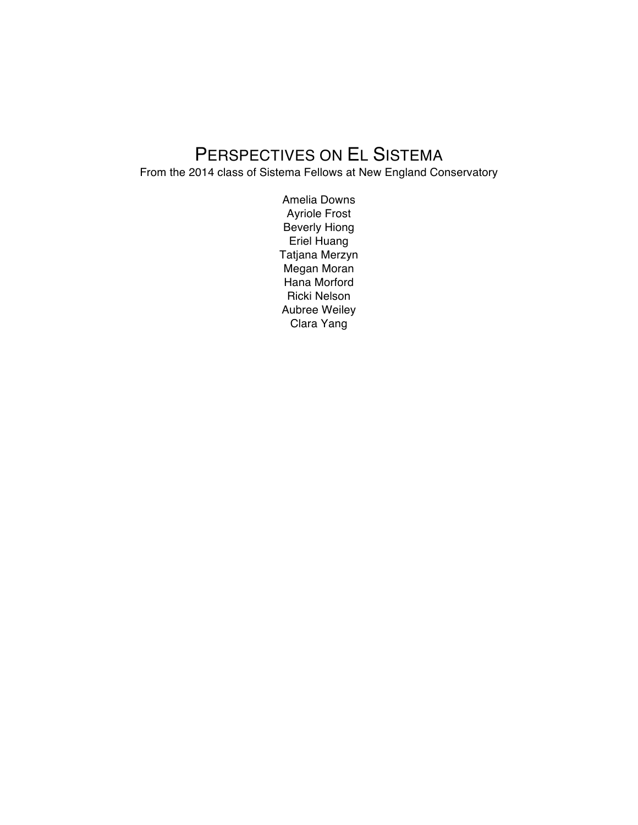# PERSPECTIVES ON EL SISTEMA

From the 2014 class of Sistema Fellows at New England Conservatory

Amelia Downs Ayriole Frost Beverly Hiong Eriel Huang Tatjana Merzyn Megan Moran Hana Morford Ricki Nelson Aubree Weiley Clara Yang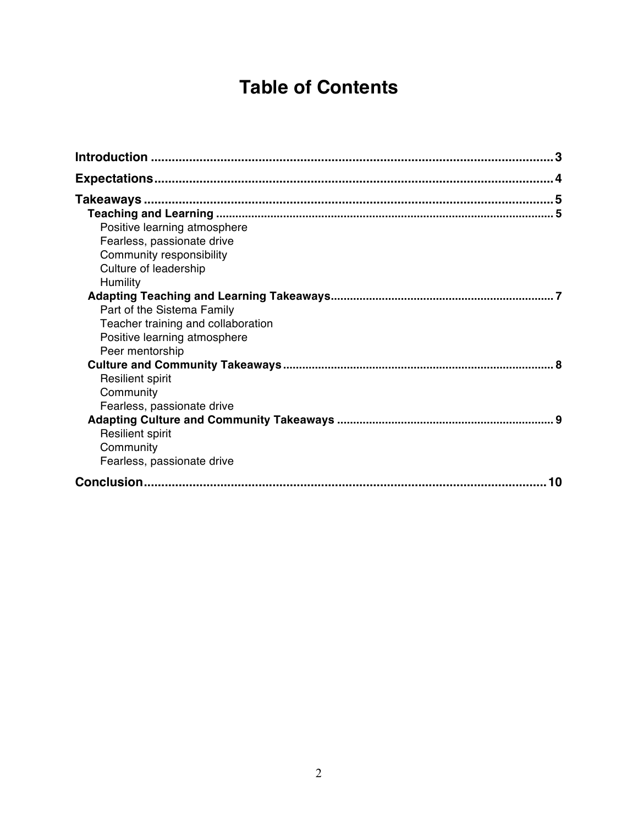# **Table of Contents**

| Positive learning atmosphere       |  |
|------------------------------------|--|
| Fearless, passionate drive         |  |
| Community responsibility           |  |
| Culture of leadership              |  |
| Humility                           |  |
|                                    |  |
| Part of the Sistema Family         |  |
| Teacher training and collaboration |  |
| Positive learning atmosphere       |  |
| Peer mentorship                    |  |
|                                    |  |
| <b>Resilient spirit</b>            |  |
| Community                          |  |
| Fearless, passionate drive         |  |
|                                    |  |
| <b>Resilient spirit</b>            |  |
| Community                          |  |
| Fearless, passionate drive         |  |
| 10                                 |  |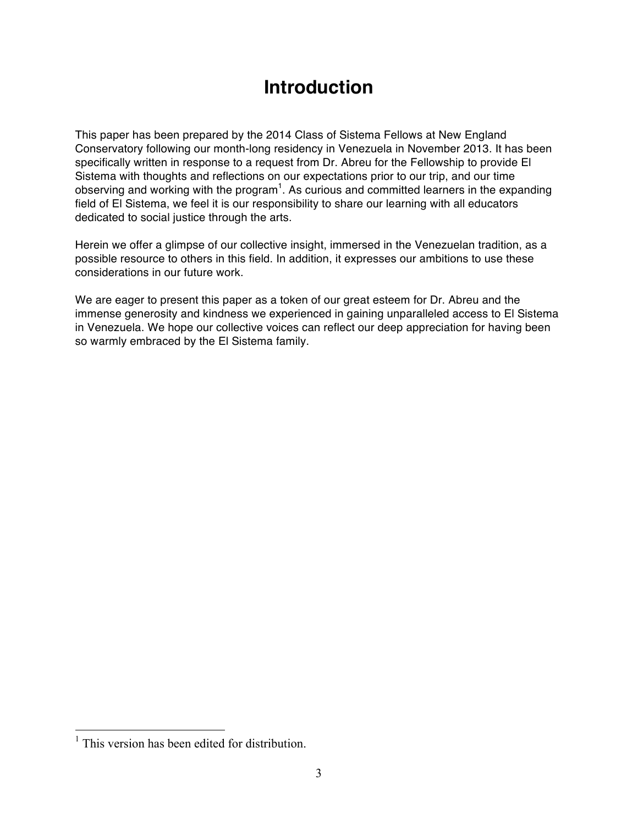## **Introduction**

This paper has been prepared by the 2014 Class of Sistema Fellows at New England Conservatory following our month-long residency in Venezuela in November 2013. It has been specifically written in response to a request from Dr. Abreu for the Fellowship to provide El Sistema with thoughts and reflections on our expectations prior to our trip, and our time observing and working with the program<sup>1</sup>. As curious and committed learners in the expanding field of El Sistema, we feel it is our responsibility to share our learning with all educators dedicated to social justice through the arts.

Herein we offer a glimpse of our collective insight, immersed in the Venezuelan tradition, as a possible resource to others in this field. In addition, it expresses our ambitions to use these considerations in our future work.

We are eager to present this paper as a token of our great esteem for Dr. Abreu and the immense generosity and kindness we experienced in gaining unparalleled access to El Sistema in Venezuela. We hope our collective voices can reflect our deep appreciation for having been so warmly embraced by the El Sistema family.

 $<sup>1</sup>$  This version has been edited for distribution.</sup>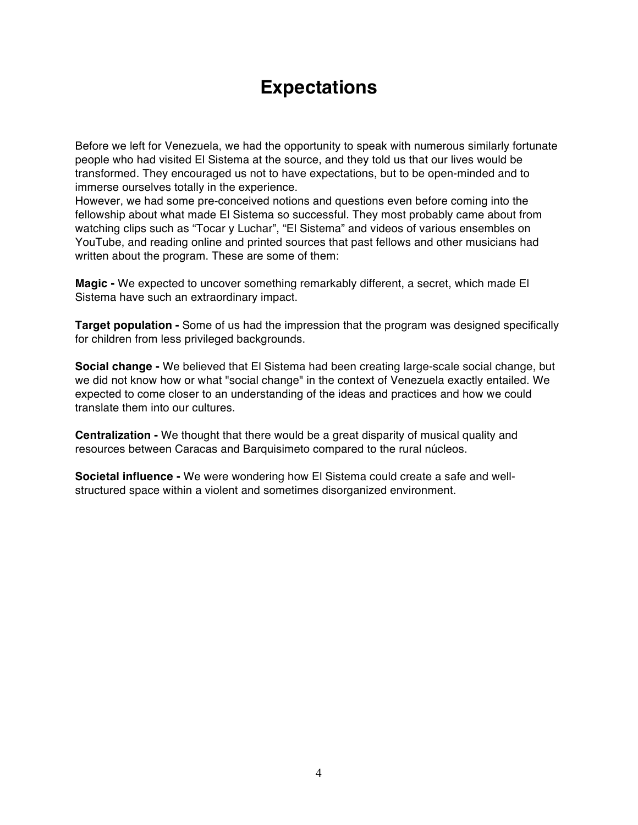## **Expectations**

Before we left for Venezuela, we had the opportunity to speak with numerous similarly fortunate people who had visited El Sistema at the source, and they told us that our lives would be transformed. They encouraged us not to have expectations, but to be open-minded and to immerse ourselves totally in the experience.

However, we had some pre-conceived notions and questions even before coming into the fellowship about what made El Sistema so successful. They most probably came about from watching clips such as "Tocar y Luchar", "El Sistema" and videos of various ensembles on YouTube, and reading online and printed sources that past fellows and other musicians had written about the program. These are some of them:

**Magic -** We expected to uncover something remarkably different, a secret, which made El Sistema have such an extraordinary impact.

**Target population -** Some of us had the impression that the program was designed specifically for children from less privileged backgrounds.

**Social change -** We believed that El Sistema had been creating large-scale social change, but we did not know how or what "social change" in the context of Venezuela exactly entailed. We expected to come closer to an understanding of the ideas and practices and how we could translate them into our cultures.

**Centralization -** We thought that there would be a great disparity of musical quality and resources between Caracas and Barquisimeto compared to the rural núcleos.

**Societal influence -** We were wondering how El Sistema could create a safe and wellstructured space within a violent and sometimes disorganized environment.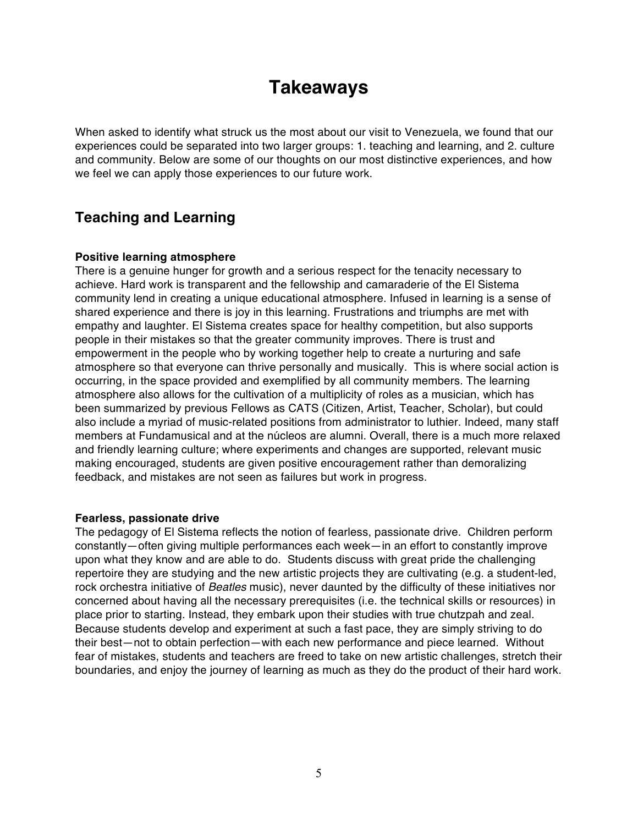## **Takeaways**

When asked to identify what struck us the most about our visit to Venezuela, we found that our experiences could be separated into two larger groups: 1. teaching and learning, and 2. culture and community. Below are some of our thoughts on our most distinctive experiences, and how we feel we can apply those experiences to our future work.

### **Teaching and Learning**

#### **Positive learning atmosphere**

There is a genuine hunger for growth and a serious respect for the tenacity necessary to achieve. Hard work is transparent and the fellowship and camaraderie of the El Sistema community lend in creating a unique educational atmosphere. Infused in learning is a sense of shared experience and there is joy in this learning. Frustrations and triumphs are met with empathy and laughter. El Sistema creates space for healthy competition, but also supports people in their mistakes so that the greater community improves. There is trust and empowerment in the people who by working together help to create a nurturing and safe atmosphere so that everyone can thrive personally and musically. This is where social action is occurring, in the space provided and exemplified by all community members. The learning atmosphere also allows for the cultivation of a multiplicity of roles as a musician, which has been summarized by previous Fellows as CATS (Citizen, Artist, Teacher, Scholar), but could also include a myriad of music-related positions from administrator to luthier. Indeed, many staff members at Fundamusical and at the núcleos are alumni. Overall, there is a much more relaxed and friendly learning culture; where experiments and changes are supported, relevant music making encouraged, students are given positive encouragement rather than demoralizing feedback, and mistakes are not seen as failures but work in progress.

#### **Fearless, passionate drive**

The pedagogy of El Sistema reflects the notion of fearless, passionate drive. Children perform constantly—often giving multiple performances each week—in an effort to constantly improve upon what they know and are able to do. Students discuss with great pride the challenging repertoire they are studying and the new artistic projects they are cultivating (e.g. a student-led, rock orchestra initiative of *Beatles* music), never daunted by the difficulty of these initiatives nor concerned about having all the necessary prerequisites (i.e. the technical skills or resources) in place prior to starting. Instead, they embark upon their studies with true chutzpah and zeal. Because students develop and experiment at such a fast pace, they are simply striving to do their best—not to obtain perfection—with each new performance and piece learned. Without fear of mistakes, students and teachers are freed to take on new artistic challenges, stretch their boundaries, and enjoy the journey of learning as much as they do the product of their hard work.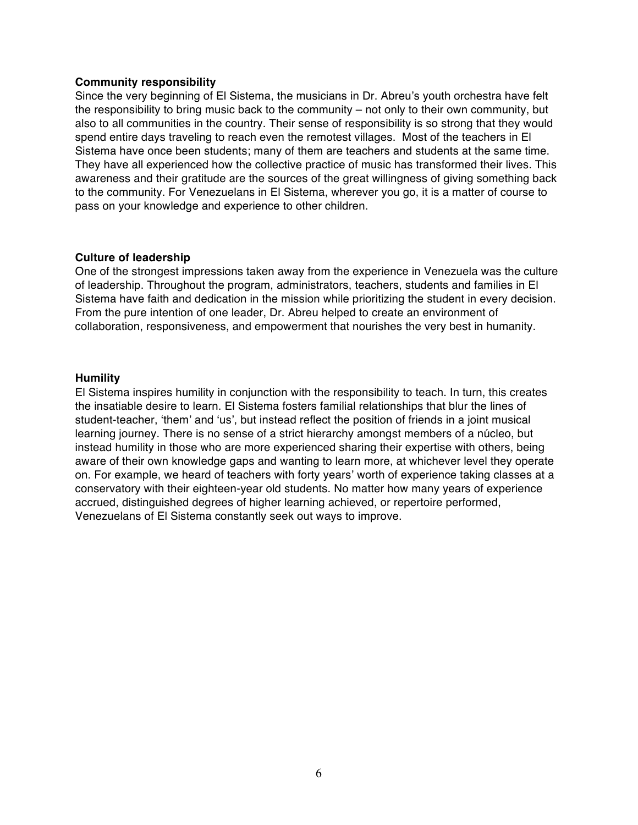#### **Community responsibility**

Since the very beginning of El Sistema, the musicians in Dr. Abreu's youth orchestra have felt the responsibility to bring music back to the community – not only to their own community, but also to all communities in the country. Their sense of responsibility is so strong that they would spend entire days traveling to reach even the remotest villages. Most of the teachers in El Sistema have once been students; many of them are teachers and students at the same time. They have all experienced how the collective practice of music has transformed their lives. This awareness and their gratitude are the sources of the great willingness of giving something back to the community. For Venezuelans in El Sistema, wherever you go, it is a matter of course to pass on your knowledge and experience to other children.

#### **Culture of leadership**

One of the strongest impressions taken away from the experience in Venezuela was the culture of leadership. Throughout the program, administrators, teachers, students and families in El Sistema have faith and dedication in the mission while prioritizing the student in every decision. From the pure intention of one leader, Dr. Abreu helped to create an environment of collaboration, responsiveness, and empowerment that nourishes the very best in humanity.

#### **Humility**

El Sistema inspires humility in conjunction with the responsibility to teach. In turn, this creates the insatiable desire to learn. El Sistema fosters familial relationships that blur the lines of student-teacher, 'them' and 'us', but instead reflect the position of friends in a joint musical learning journey. There is no sense of a strict hierarchy amongst members of a núcleo, but instead humility in those who are more experienced sharing their expertise with others, being aware of their own knowledge gaps and wanting to learn more, at whichever level they operate on. For example, we heard of teachers with forty years' worth of experience taking classes at a conservatory with their eighteen-year old students. No matter how many years of experience accrued, distinguished degrees of higher learning achieved, or repertoire performed, Venezuelans of El Sistema constantly seek out ways to improve.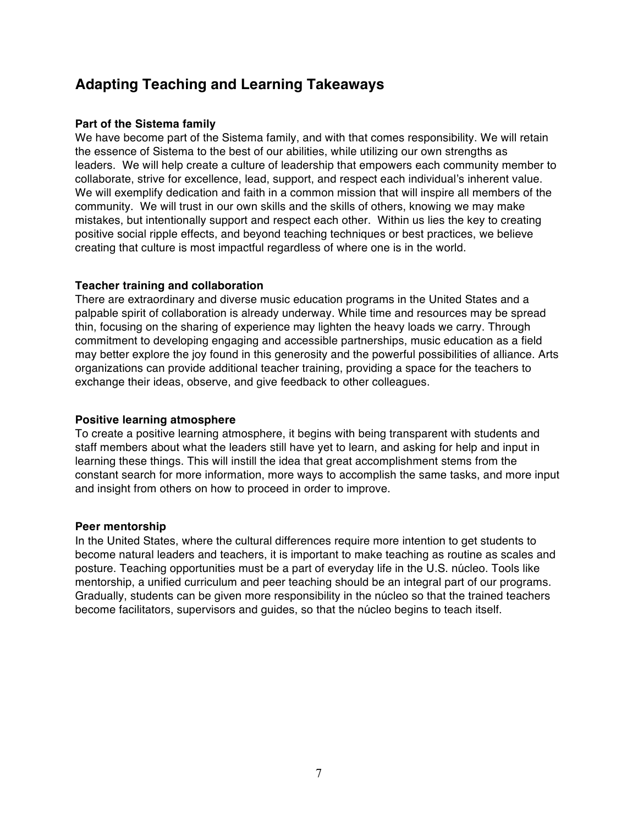### **Adapting Teaching and Learning Takeaways**

#### **Part of the Sistema family**

We have become part of the Sistema family, and with that comes responsibility. We will retain the essence of Sistema to the best of our abilities, while utilizing our own strengths as leaders. We will help create a culture of leadership that empowers each community member to collaborate, strive for excellence, lead, support, and respect each individual's inherent value. We will exemplify dedication and faith in a common mission that will inspire all members of the community. We will trust in our own skills and the skills of others, knowing we may make mistakes, but intentionally support and respect each other. Within us lies the key to creating positive social ripple effects, and beyond teaching techniques or best practices, we believe creating that culture is most impactful regardless of where one is in the world.

#### **Teacher training and collaboration**

There are extraordinary and diverse music education programs in the United States and a palpable spirit of collaboration is already underway. While time and resources may be spread thin, focusing on the sharing of experience may lighten the heavy loads we carry. Through commitment to developing engaging and accessible partnerships, music education as a field may better explore the joy found in this generosity and the powerful possibilities of alliance. Arts organizations can provide additional teacher training, providing a space for the teachers to exchange their ideas, observe, and give feedback to other colleagues.

#### **Positive learning atmosphere**

To create a positive learning atmosphere, it begins with being transparent with students and staff members about what the leaders still have yet to learn, and asking for help and input in learning these things. This will instill the idea that great accomplishment stems from the constant search for more information, more ways to accomplish the same tasks, and more input and insight from others on how to proceed in order to improve.

#### **Peer mentorship**

In the United States, where the cultural differences require more intention to get students to become natural leaders and teachers, it is important to make teaching as routine as scales and posture. Teaching opportunities must be a part of everyday life in the U.S. núcleo. Tools like mentorship, a unified curriculum and peer teaching should be an integral part of our programs. Gradually, students can be given more responsibility in the núcleo so that the trained teachers become facilitators, supervisors and guides, so that the núcleo begins to teach itself.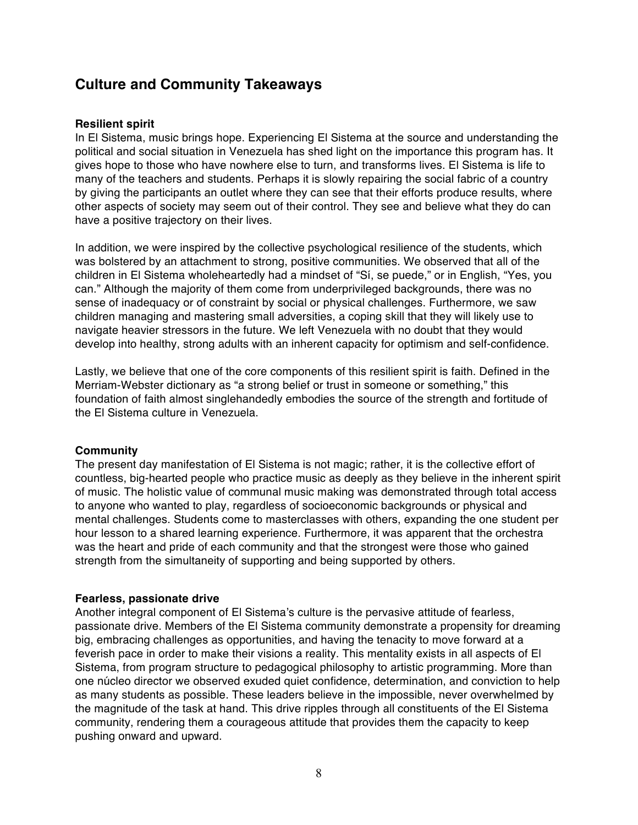### **Culture and Community Takeaways**

#### **Resilient spirit**

In El Sistema, music brings hope. Experiencing El Sistema at the source and understanding the political and social situation in Venezuela has shed light on the importance this program has. It gives hope to those who have nowhere else to turn, and transforms lives. El Sistema is life to many of the teachers and students. Perhaps it is slowly repairing the social fabric of a country by giving the participants an outlet where they can see that their efforts produce results, where other aspects of society may seem out of their control. They see and believe what they do can have a positive trajectory on their lives.

In addition, we were inspired by the collective psychological resilience of the students, which was bolstered by an attachment to strong, positive communities. We observed that all of the children in El Sistema wholeheartedly had a mindset of "Sí, se puede," or in English, "Yes, you can." Although the majority of them come from underprivileged backgrounds, there was no sense of inadequacy or of constraint by social or physical challenges. Furthermore, we saw children managing and mastering small adversities, a coping skill that they will likely use to navigate heavier stressors in the future. We left Venezuela with no doubt that they would develop into healthy, strong adults with an inherent capacity for optimism and self-confidence.

Lastly, we believe that one of the core components of this resilient spirit is faith. Defined in the Merriam-Webster dictionary as "a strong belief or trust in someone or something," this foundation of faith almost singlehandedly embodies the source of the strength and fortitude of the El Sistema culture in Venezuela.

#### **Community**

The present day manifestation of El Sistema is not magic; rather, it is the collective effort of countless, big-hearted people who practice music as deeply as they believe in the inherent spirit of music. The holistic value of communal music making was demonstrated through total access to anyone who wanted to play, regardless of socioeconomic backgrounds or physical and mental challenges. Students come to masterclasses with others, expanding the one student per hour lesson to a shared learning experience. Furthermore, it was apparent that the orchestra was the heart and pride of each community and that the strongest were those who gained strength from the simultaneity of supporting and being supported by others.

#### **Fearless, passionate drive**

Another integral component of El Sistema's culture is the pervasive attitude of fearless, passionate drive. Members of the El Sistema community demonstrate a propensity for dreaming big, embracing challenges as opportunities, and having the tenacity to move forward at a feverish pace in order to make their visions a reality. This mentality exists in all aspects of El Sistema, from program structure to pedagogical philosophy to artistic programming. More than one núcleo director we observed exuded quiet confidence, determination, and conviction to help as many students as possible. These leaders believe in the impossible, never overwhelmed by the magnitude of the task at hand. This drive ripples through all constituents of the El Sistema community, rendering them a courageous attitude that provides them the capacity to keep pushing onward and upward.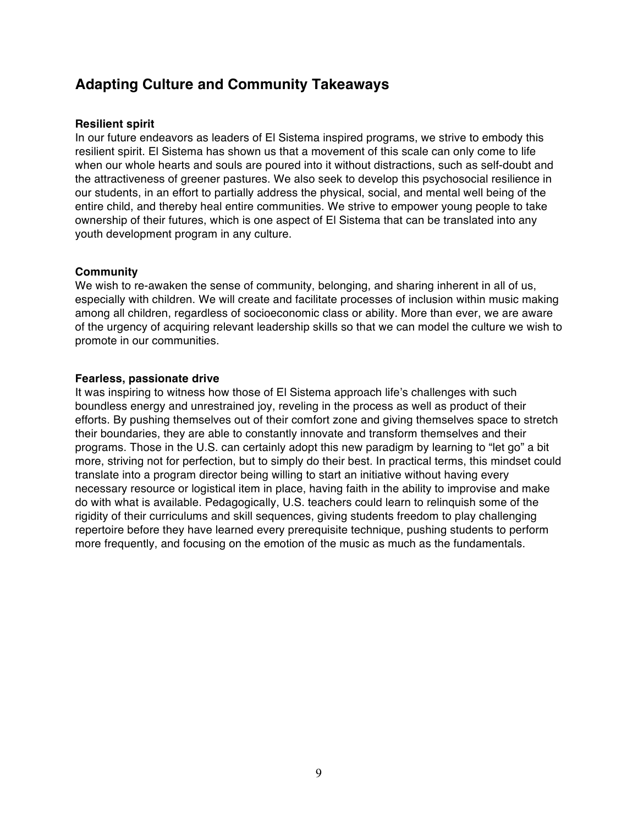### **Adapting Culture and Community Takeaways**

#### **Resilient spirit**

In our future endeavors as leaders of El Sistema inspired programs, we strive to embody this resilient spirit. El Sistema has shown us that a movement of this scale can only come to life when our whole hearts and souls are poured into it without distractions, such as self-doubt and the attractiveness of greener pastures. We also seek to develop this psychosocial resilience in our students, in an effort to partially address the physical, social, and mental well being of the entire child, and thereby heal entire communities. We strive to empower young people to take ownership of their futures, which is one aspect of El Sistema that can be translated into any youth development program in any culture.

#### **Community**

We wish to re-awaken the sense of community, belonging, and sharing inherent in all of us, especially with children. We will create and facilitate processes of inclusion within music making among all children, regardless of socioeconomic class or ability. More than ever, we are aware of the urgency of acquiring relevant leadership skills so that we can model the culture we wish to promote in our communities.

#### **Fearless, passionate drive**

It was inspiring to witness how those of El Sistema approach life's challenges with such boundless energy and unrestrained joy, reveling in the process as well as product of their efforts. By pushing themselves out of their comfort zone and giving themselves space to stretch their boundaries, they are able to constantly innovate and transform themselves and their programs. Those in the U.S. can certainly adopt this new paradigm by learning to "let go" a bit more, striving not for perfection, but to simply do their best. In practical terms, this mindset could translate into a program director being willing to start an initiative without having every necessary resource or logistical item in place, having faith in the ability to improvise and make do with what is available. Pedagogically, U.S. teachers could learn to relinquish some of the rigidity of their curriculums and skill sequences, giving students freedom to play challenging repertoire before they have learned every prerequisite technique, pushing students to perform more frequently, and focusing on the emotion of the music as much as the fundamentals.